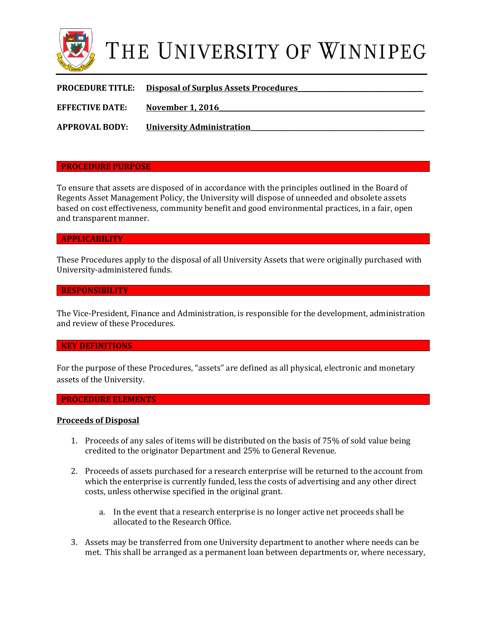

# THE UNIVERSITY OF WINNIPEG

| <b>PROCEDURE TITLE:</b> | <u><b>Disposal of Surplus Assets Procedures</b></u> |
|-------------------------|-----------------------------------------------------|
| <b>EFFECTIVE DATE:</b>  | <b>November 1, 2016</b>                             |
| <b>APPROVAL BODY:</b>   | <b>University Administration</b>                    |

## **PROCEDURE PURPOSE**

To ensure that assets are disposed of in accordance with the principles outlined in the Board of Regents Asset Management Policy, the University will dispose of unneeded and obsolete assets based on cost effectiveness, community benefit and good environmental practices, in a fair, open and transparent manner.

#### **APPLICABILITY**

These Procedures apply to the disposal of all University Assets that were originally purchased with University-administered funds.

#### **RESPONSIBILITY**

The Vice-President, Finance and Administration, is responsible for the development, administration and review of these Procedures.

#### **KEY DEFINITIONS**

For the purpose of these Procedures, "assets" are defined as all physical, electronic and monetary assets of the University.

#### **PROCEDURE ELEMENTS**

#### **Proceeds of Disposal**

- 1. Proceeds of any sales of items will be distributed on the basis of 75% of sold value being credited to the originator Department and 25% to General Revenue.
- 2. Proceeds of assets purchased for a research enterprise will be returned to the account from which the enterprise is currently funded, less the costs of advertising and any other direct costs, unless otherwise specified in the original grant.
	- a. In the event that a research enterprise is no longer active net proceeds shall be allocated to the Research Office.
- 3. Assets may be transferred from one University department to another where needs can be met. This shall be arranged as a permanent loan between departments or, where necessary,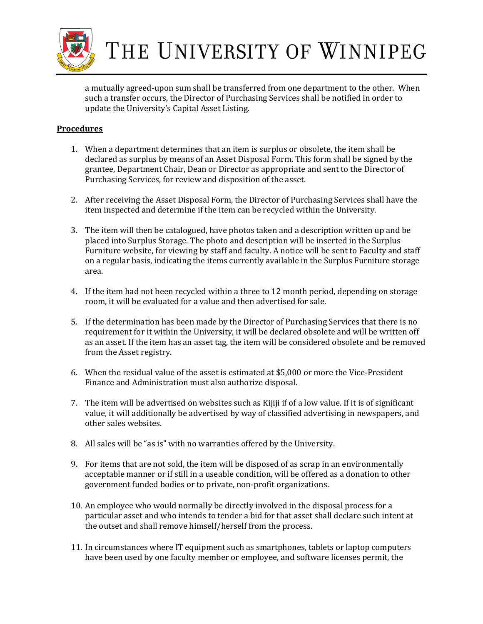

THE UNIVERSITY OF WINNIPEG

a mutually agreed-upon sum shall be transferred from one department to the other. When such a transfer occurs, the Director of Purchasing Services shall be notified in order to update the University's Capital Asset Listing.

# **Procedures**

- 1. When a department determines that an item is surplus or obsolete, the item shall be declared as surplus by means of an Asset Disposal Form. This form shall be signed by the grantee, Department Chair, Dean or Director as appropriate and sent to the Director of Purchasing Services, for review and disposition of the asset.
- 2. After receiving the Asset Disposal Form, the Director of Purchasing Services shall have the item inspected and determine if the item can be recycled within the University.
- 3. The item will then be catalogued, have photos taken and a description written up and be placed into Surplus Storage. The photo and description will be inserted in the Surplus Furniture website, for viewing by staff and faculty. A notice will be sent to Faculty and staff on a regular basis, indicating the items currently available in the Surplus Furniture storage area.
- 4. If the item had not been recycled within a three to 12 month period, depending on storage room, it will be evaluated for a value and then advertised for sale.
- 5. If the determination has been made by the Director of Purchasing Services that there is no requirement for it within the University, it will be declared obsolete and will be written off as an asset. If the item has an asset tag, the item will be considered obsolete and be removed from the Asset registry.
- 6. When the residual value of the asset is estimated at \$5,000 or more the Vice-President Finance and Administration must also authorize disposal.
- 7. The item will be advertised on websites such as Kijiji if of a low value. If it is of significant value, it will additionally be advertised by way of classified advertising in newspapers, and other sales websites.
- 8. All sales will be "as is" with no warranties offered by the University.
- 9. For items that are not sold, the item will be disposed of as scrap in an environmentally acceptable manner or if still in a useable condition, will be offered as a donation to other government funded bodies or to private, non-profit organizations.
- 10. An employee who would normally be directly involved in the disposal process for a particular asset and who intends to tender a bid for that asset shall declare such intent at the outset and shall remove himself/herself from the process.
- 11. In circumstances where IT equipment such as smartphones, tablets or laptop computers have been used by one faculty member or employee, and software licenses permit, the